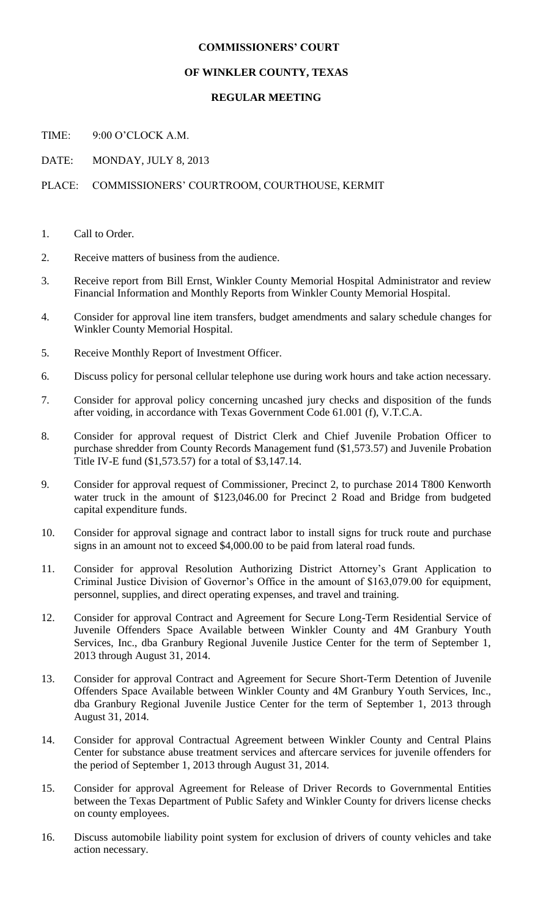## **COMMISSIONERS' COURT**

## **OF WINKLER COUNTY, TEXAS**

## **REGULAR MEETING**

TIME: 9:00 O'CLOCK A.M.

DATE: MONDAY, JULY 8, 2013

## PLACE: COMMISSIONERS' COURTROOM, COURTHOUSE, KERMIT

- 1. Call to Order.
- 2. Receive matters of business from the audience.
- 3. Receive report from Bill Ernst, Winkler County Memorial Hospital Administrator and review Financial Information and Monthly Reports from Winkler County Memorial Hospital.
- 4. Consider for approval line item transfers, budget amendments and salary schedule changes for Winkler County Memorial Hospital.
- 5. Receive Monthly Report of Investment Officer.
- 6. Discuss policy for personal cellular telephone use during work hours and take action necessary.
- 7. Consider for approval policy concerning uncashed jury checks and disposition of the funds after voiding, in accordance with Texas Government Code 61.001 (f), V.T.C.A.
- 8. Consider for approval request of District Clerk and Chief Juvenile Probation Officer to purchase shredder from County Records Management fund (\$1,573.57) and Juvenile Probation Title IV-E fund (\$1,573.57) for a total of \$3,147.14.
- 9. Consider for approval request of Commissioner, Precinct 2, to purchase 2014 T800 Kenworth water truck in the amount of \$123,046.00 for Precinct 2 Road and Bridge from budgeted capital expenditure funds.
- 10. Consider for approval signage and contract labor to install signs for truck route and purchase signs in an amount not to exceed \$4,000.00 to be paid from lateral road funds.
- 11. Consider for approval Resolution Authorizing District Attorney's Grant Application to Criminal Justice Division of Governor's Office in the amount of \$163,079.00 for equipment, personnel, supplies, and direct operating expenses, and travel and training.
- 12. Consider for approval Contract and Agreement for Secure Long-Term Residential Service of Juvenile Offenders Space Available between Winkler County and 4M Granbury Youth Services, Inc., dba Granbury Regional Juvenile Justice Center for the term of September 1, 2013 through August 31, 2014.
- 13. Consider for approval Contract and Agreement for Secure Short-Term Detention of Juvenile Offenders Space Available between Winkler County and 4M Granbury Youth Services, Inc., dba Granbury Regional Juvenile Justice Center for the term of September 1, 2013 through August 31, 2014.
- 14. Consider for approval Contractual Agreement between Winkler County and Central Plains Center for substance abuse treatment services and aftercare services for juvenile offenders for the period of September 1, 2013 through August 31, 2014.
- 15. Consider for approval Agreement for Release of Driver Records to Governmental Entities between the Texas Department of Public Safety and Winkler County for drivers license checks on county employees.
- 16. Discuss automobile liability point system for exclusion of drivers of county vehicles and take action necessary.